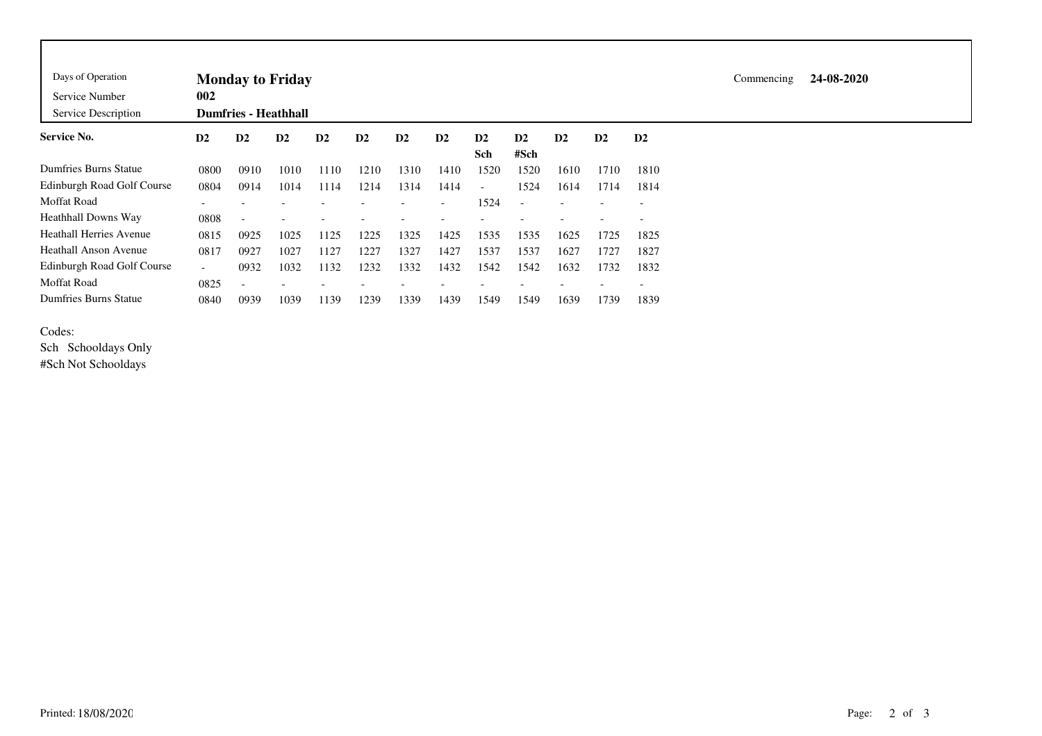| Days of Operation                 | <b>Monday to Friday</b>  |                          |                             |      |      |      |                          |        |                          |      |      |                          |  |  |  |
|-----------------------------------|--------------------------|--------------------------|-----------------------------|------|------|------|--------------------------|--------|--------------------------|------|------|--------------------------|--|--|--|
| Service Number                    | 002                      |                          |                             |      |      |      |                          |        |                          |      |      |                          |  |  |  |
| Service Description               |                          |                          | <b>Dumfries - Heathhall</b> |      |      |      |                          |        |                          |      |      |                          |  |  |  |
| <b>Service No.</b>                | D2                       | $\mathbf{D2}$            | D <sub>2</sub>              | D2   | D2   | D2   | D2                       | D2     | D2                       | D2   | D2   | D2                       |  |  |  |
|                                   |                          |                          |                             |      |      |      |                          | Sch    | #Sch                     |      |      |                          |  |  |  |
| Dumfries Burns Statue             | 0800                     | 0910                     | 1010                        | 1110 | 1210 | 1310 | 1410                     | 1520   | 1520                     | 1610 | 1710 | 1810                     |  |  |  |
| <b>Edinburgh Road Golf Course</b> | 0804                     | 0914                     | 1014                        | 1114 | 1214 | 1314 | 1414                     | $\sim$ | 1524                     | 1614 | 1714 | 1814                     |  |  |  |
| Moffat Road                       |                          |                          |                             |      |      |      | $\overline{\phantom{0}}$ | 1524   | $\overline{\phantom{0}}$ |      |      | $\overline{\phantom{0}}$ |  |  |  |
| Heathhall Downs Way               | 0808                     | $\overline{\phantom{a}}$ |                             |      |      |      |                          |        |                          |      |      |                          |  |  |  |
| Heathall Herries Avenue           | 0815                     | 0925                     | 1025                        | 1125 | 1225 | 1325 | 1425                     | 1535   | 1535                     | 1625 | 1725 | 1825                     |  |  |  |
| Heathall Anson Avenue             | 0817                     | 0927                     | 1027                        | 1127 | 1227 | 1327 | 1427                     | 1537   | 1537                     | 1627 | 1727 | 1827                     |  |  |  |
| Edinburgh Road Golf Course        | $\overline{\phantom{a}}$ | 0932                     | 1032                        | 1132 | 1232 | 1332 | 1432                     | 1542   | 1542                     | 1632 | 1732 | 1832                     |  |  |  |
| Moffat Road                       | 0825                     | $\overline{\phantom{a}}$ |                             |      |      |      |                          |        |                          |      |      | $\overline{\phantom{0}}$ |  |  |  |
| Dumfries Burns Statue             | 0840                     | 0939                     | 1039                        | 1139 | 1239 | 1339 | 1439                     | 1549   | 1549                     | 1639 | 1739 | 1839                     |  |  |  |

## Codes:

Sch Schooldays Only #Sch Not Schooldays